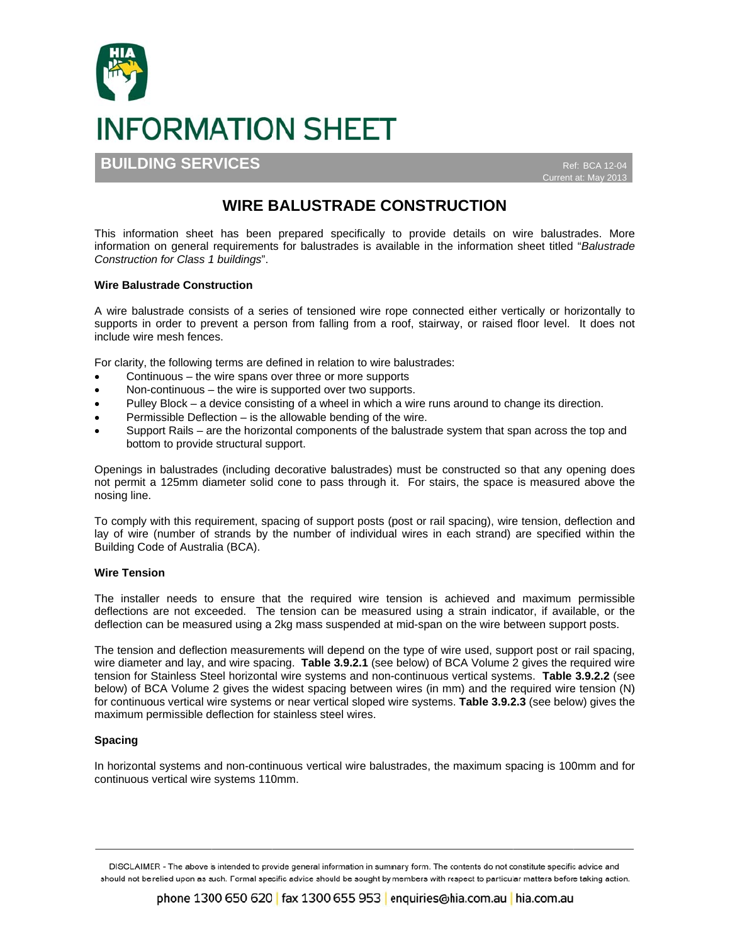

**BUILDING SERVICES** 

Ref: BCA 12-0 Current at: May 2013

# **WIRE BALUSTRADE CONSTRUCTION**

This information sheet has been prepared specifically to provide details on wire balustrades. More information on general requirements for balustrades is available in the information sheet titled "Balustrade" Construction for Class 1 buildings".

## **Wire Balustrade Construction**

A wire balustrade consists of a series of tensioned wire rope connected either vertically or horizontally to supports in order to prevent a person from falling from a roof, stairway, or raised floor level. It does not include wire mesh fences.

For clarity, the following terms are defined in relation to wire balustrades:

- Continuous the wire spans over three or more supports
- Non-continuous the wire is supported over two supports.
- Pulley Block a device consisting of a wheel in which a wire runs around to change its direction.
- Permissible Deflection is the allowable bending of the wire.
- Support Rails are the horizontal components of the balustrade system that span across the top and bottom to provide structural support.

Openings in balustrades (including decorative balustrades) must be constructed so that any opening does not permit a 125mm diameter solid cone to pass through it. For stairs, the space is measured above the nosing line.

To comply with this requirement, spacing of support posts (post or rail spacing), wire tension, deflection and lay of wire (number of strands by the number of individual wires in each strand) are specified within the Building Code of Australia (BCA).

### **Wire Tension**

The installer needs to ensure that the required wire tension is achieved and maximum permissible deflections are not exceeded. The tension can be measured using a strain indicator, if available, or the deflection can be measured using a 2kg mass suspended at mid-span on the wire between support posts.

The tension and deflection measurements will depend on the type of wire used, support post or rail spacing, wire diameter and lay, and wire spacing. Table 3.9.2.1 (see below) of BCA Volume 2 gives the required wire tension for Stainless Steel horizontal wire systems and non-continuous vertical systems. Table 3.9.2.2 (see below) of BCA Volume 2 gives the widest spacing between wires (in mm) and the required wire tension (N) for continuous vertical wire systems or near vertical sloped wire systems. Table 3.9.2.3 (see below) gives the maximum permissible deflection for stainless steel wires.

## **Spacing**

In horizontal systems and non-continuous vertical wire balustrades, the maximum spacing is 100mm and for continuous vertical wire systems 110mm.

DISCLAIMER - The above is intended to provide general information in summary form. The contents do not constitute specific advice and should not be relied upon as such. Formal specific advice should be sought by members with respect to particular matters before taking action.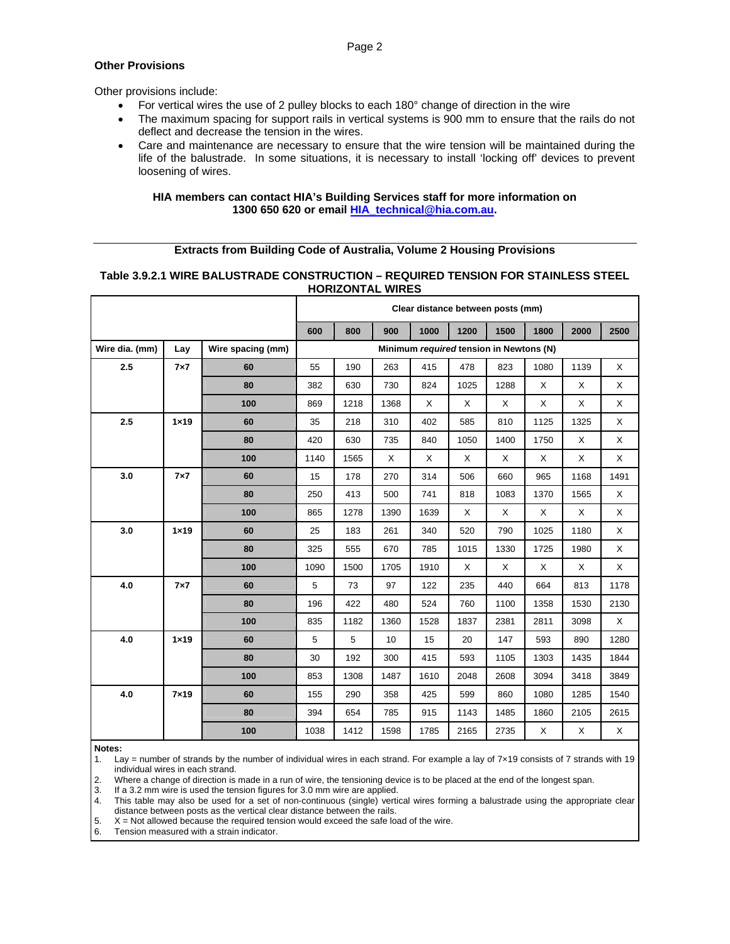## **Other Provisions**

Other provisions include:

- For vertical wires the use of 2 pulley blocks to each 180° change of direction in the wire
- The maximum spacing for support rails in vertical systems is 900 mm to ensure that the rails do not deflect and decrease the tension in the wires.
- Care and maintenance are necessary to ensure that the wire tension will be maintained during the life of the balustrade. In some situations, it is necessary to install 'locking off' devices to prevent loosening of wires.

## **HIA members can contact HIA's Building Services staff for more information on 1300 650 620 or email HIA\_technical@hia.com.au.**

# **Extracts from Building Code of Australia, Volume 2 Housing Provisions**

# **Table 3.9.2.1 WIRE BALUSTRADE CONSTRUCTION – REQUIRED TENSION FOR STAINLESS STEEL HORIZONTAL WIRES**

|                |               |                   | Clear distance between posts (mm)       |      |      |      |          |      |      |          |          |
|----------------|---------------|-------------------|-----------------------------------------|------|------|------|----------|------|------|----------|----------|
|                |               |                   | 600                                     | 800  | 900  | 1000 | 1200     | 1500 | 1800 | 2000     | 2500     |
| Wire dia. (mm) | Lay           | Wire spacing (mm) | Minimum required tension in Newtons (N) |      |      |      |          |      |      |          |          |
| 2.5            | $7\times7$    | 60                | 55                                      | 190  | 263  | 415  | 478      | 823  | 1080 | 1139     | Χ        |
|                |               | 80                | 382                                     | 630  | 730  | 824  | 1025     | 1288 | X    | X        | $\times$ |
|                |               | 100               | 869                                     | 1218 | 1368 | X    | X        | X    | X    | X        | X        |
| 2.5            | $1 \times 19$ | 60                | 35                                      | 218  | 310  | 402  | 585      | 810  | 1125 | 1325     | X        |
|                |               | 80                | 420                                     | 630  | 735  | 840  | 1050     | 1400 | 1750 | $\times$ | X        |
|                |               | 100               | 1140                                    | 1565 | X    | X    | X        | X    | X    | X        | $\times$ |
| 3.0            | $7\times7$    | 60                | 15                                      | 178  | 270  | 314  | 506      | 660  | 965  | 1168     | 1491     |
|                |               | 80                | 250                                     | 413  | 500  | 741  | 818      | 1083 | 1370 | 1565     | X        |
|                |               | 100               | 865                                     | 1278 | 1390 | 1639 | $\times$ | X    | X    | X        | X        |
| 3.0            | $1 \times 19$ | 60                | 25                                      | 183  | 261  | 340  | 520      | 790  | 1025 | 1180     | Χ        |
|                |               | 80                | 325                                     | 555  | 670  | 785  | 1015     | 1330 | 1725 | 1980     | Χ        |
|                |               | 100               | 1090                                    | 1500 | 1705 | 1910 | $\times$ | X    | X    | X        | X        |
| 4.0            | $7\times7$    | 60                | 5                                       | 73   | 97   | 122  | 235      | 440  | 664  | 813      | 1178     |
|                |               | 80                | 196                                     | 422  | 480  | 524  | 760      | 1100 | 1358 | 1530     | 2130     |
|                |               | 100               | 835                                     | 1182 | 1360 | 1528 | 1837     | 2381 | 2811 | 3098     | X        |
| 4.0            | $1 \times 19$ | 60                | 5                                       | 5    | 10   | 15   | 20       | 147  | 593  | 890      | 1280     |
|                |               | 80                | 30                                      | 192  | 300  | 415  | 593      | 1105 | 1303 | 1435     | 1844     |
|                |               | 100               | 853                                     | 1308 | 1487 | 1610 | 2048     | 2608 | 3094 | 3418     | 3849     |
| 4.0            | $7\times19$   | 60                | 155                                     | 290  | 358  | 425  | 599      | 860  | 1080 | 1285     | 1540     |
|                |               | 80                | 394                                     | 654  | 785  | 915  | 1143     | 1485 | 1860 | 2105     | 2615     |
|                |               | 100               | 1038                                    | 1412 | 1598 | 1785 | 2165     | 2735 | X    | X        | X        |

**Notes:**

1. Lay = number of strands by the number of individual wires in each strand. For example a lay of 7×19 consists of 7 strands with 19 individual wires in each strand.

2. Where a change of direction is made in a run of wire, the tensioning device is to be placed at the end of the longest span.

3. If a 3.2 mm wire is used the tension figures for 3.0 mm wire are applied.

4. This table may also be used for a set of non-continuous (single) vertical wires forming a balustrade using the appropriate clear distance between posts as the vertical clear distance between the rails.

5.  $X = Not$  allowed because the required tension would exceed the safe load of the wire.

6. Tension measured with a strain indicator.